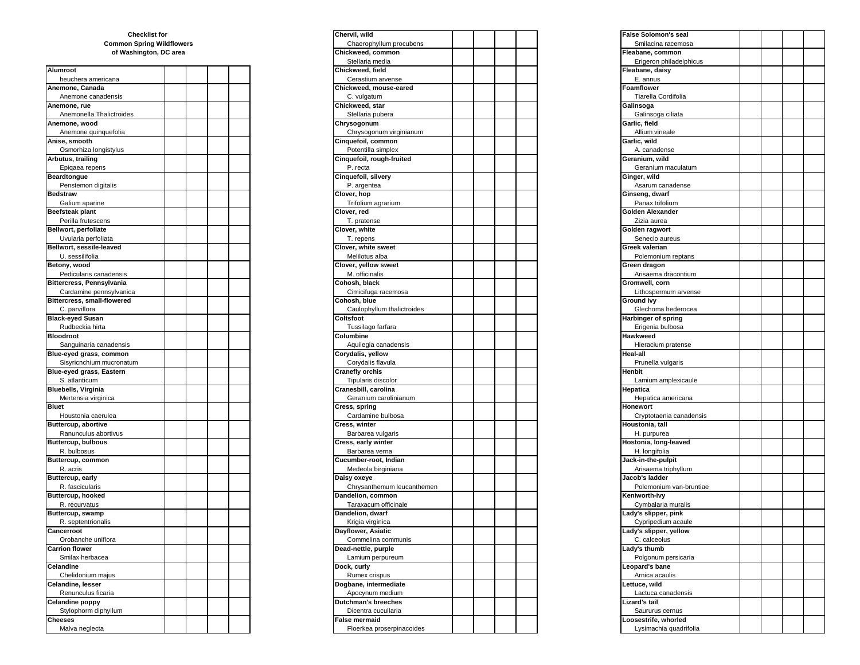## **of Washington, DC area Common Spring Wildflowers Checklist for**

| Alumroot                         |  | Chickweed, field                                  |  | Fleabane, daisy                            |
|----------------------------------|--|---------------------------------------------------|--|--------------------------------------------|
| heuchera americana               |  | Cerastium arvense                                 |  | E. annus                                   |
| Anemone, Canada                  |  | Chickweed, mouse-eared                            |  | Foamflower                                 |
| Anemone canadensis               |  | C. vulgatum                                       |  | Tiarella Cordifolia                        |
| Anemone, rue                     |  | Chickweed, star                                   |  | Galinsoga                                  |
| Anemonella Thalictroides         |  | Stellaria pubera                                  |  | Galinsoga ciliata                          |
| Anemone, wood                    |  | Chrysogonum                                       |  | Garlic, field                              |
| Anemone quinquefolia             |  | Chrysogonum virginianum                           |  | Allium vineale                             |
| Anise, smooth                    |  | Cinquefoil, common                                |  | Garlic, wild                               |
| Osmorhiza longistylus            |  | Potentilla simplex                                |  | A. canadense                               |
|                                  |  |                                                   |  |                                            |
| Arbutus, trailing                |  | Cinquefoil, rough-fruited                         |  | Geranium, wild                             |
| Epigaea repens                   |  | P. recta                                          |  | Geranium maculatu                          |
| Beardtongue                      |  | Cinquefoil, silvery                               |  | Ginger, wild                               |
| Penstemon digitalis              |  | P. argentea                                       |  | Asarum canadense                           |
| <b>Bedstraw</b>                  |  | Clover, hop                                       |  | Ginseng, dwarf                             |
| Galium aparine                   |  | Trifolium agrarium                                |  | Panax trifolium                            |
| Beefsteak plant                  |  | Clover, red                                       |  | <b>Golden Alexander</b>                    |
| Perilla frutescens               |  | T. pratense                                       |  | Zizia aurea                                |
| Bellwort, perfoliate             |  | Clover, white                                     |  | Golden ragwort                             |
| Uvularia perfoliata              |  | T. repens                                         |  | Senecio aureus                             |
| Bellwort, sessile-leaved         |  | Clover, white sweet                               |  | <b>Greek valerian</b>                      |
| U. sessilifolia                  |  | Melilotus alba                                    |  | Polemonium reptar                          |
| Betony, wood                     |  | Clover, yellow sweet                              |  | Green dragon                               |
| Pedicularis canadensis           |  | M. officinalis                                    |  | Arisaema dracontiu                         |
| Bittercress, Pennsylvania        |  | Cohosh, black                                     |  | Gromwell, corn                             |
| Cardamine pennsylvanica          |  | Cimicifuga racemosa                               |  | Lithospermum arve                          |
| Bittercress, small-flowered      |  | Cohosh, blue                                      |  | <b>Ground ivy</b>                          |
| C. parviflora                    |  | Caulophyllum thalictroides                        |  | Glechoma hederoc                           |
|                                  |  |                                                   |  |                                            |
| <b>Black-eyed Susan</b>          |  | Coltsfoot                                         |  | <b>Harbinger of spring</b>                 |
| Rudbeckia hirta                  |  | Tussilago farfara                                 |  | Erigenia bulbosa                           |
| <b>Bloodroot</b>                 |  | Columbine                                         |  | <b>Hawkweed</b>                            |
| Sanguinaria canadensis           |  | Aquilegia canadensis                              |  | Hieracium pratense                         |
| Blue-eyed grass, common          |  | Corydalis, yellow                                 |  | <b>Heal-all</b>                            |
| Sisyricnchium mucronatum         |  | Corydalis flavula                                 |  | Prunella vulgaris                          |
| Blue-eyed grass, Eastern         |  | <b>Cranefly orchis</b>                            |  | Henbit                                     |
| S. atlanticum                    |  | Tipularis discolor                                |  | Lamium amplexica                           |
| <b>Bluebells, Virginia</b>       |  | Cranesbill, carolina                              |  | Hepatica                                   |
| Mertensia virginica              |  | Geranium carolinianum                             |  | Hepatica american                          |
| <b>Bluet</b>                     |  | Cress, spring                                     |  | <b>Honewort</b>                            |
| Houstonia caerulea               |  | Cardamine bulbosa                                 |  | Cryptotaenia canad                         |
| Buttercup, abortive              |  | Cress, winter                                     |  | Houstonia, tall                            |
| Ranunculus abortivus             |  | Barbarea vulgaris                                 |  | H. purpurea                                |
| Buttercup, bulbous               |  | Cress, early winter                               |  | Hostonia, long-leaved                      |
| R. bulbosus                      |  | Barbarea verna                                    |  | H. longifolia                              |
| Buttercup, common                |  | Cucumber-root, Indian                             |  | Jack-in-the-pulpit                         |
| R. acris                         |  | Medeola birginiana                                |  | Arisaema triphyllun                        |
|                                  |  | Daisy oxeye                                       |  | Jacob's ladder                             |
| Buttercup, early                 |  |                                                   |  |                                            |
| R. fascicularis                  |  | Chrysanthemum leucanthemen                        |  | Polemonium van-b                           |
| <b>Buttercup, hooked</b>         |  | Dandelion, common                                 |  | Keniworth-ivy                              |
| R. recurvatus                    |  | Taraxacum officinale                              |  | Cymbalaria muralis                         |
| Buttercup, swamp                 |  | Dandelion, dwarf                                  |  | Lady's slipper, pink                       |
| R. septentrionalis               |  | Krigia virginica                                  |  | Cypripedium acaul                          |
| Cancerroot                       |  | Dayflower, Asiatic                                |  | Lady's slipper, yellow                     |
| Orobanche uniflora               |  | Commelina communis                                |  | C. calceolus                               |
| <b>Carrion flower</b>            |  | Dead-nettle, purple                               |  | Lady's thumb                               |
| Smilax herbacea                  |  | Lamium perpureum                                  |  | Polgonum persicar                          |
| Celandine                        |  | Dock, curly                                       |  | Leopard's bane                             |
| Chelidonium majus                |  | Rumex crispus                                     |  | Arnica acaulis                             |
| Celandine, lesser                |  | Dogbane, intermediate                             |  | Lettuce, wild                              |
| Renunculus ficaria               |  | Apocynum medium                                   |  | Lactuca canadensi                          |
| <b>Celandine poppy</b>           |  | <b>Dutchman's breeches</b>                        |  | Lizard's tail                              |
|                                  |  | Dicentra cucullaria                               |  |                                            |
| Stylophorm diphyilum             |  |                                                   |  | Saururus cernus                            |
| <b>Cheeses</b><br>Malya noglocta |  | <b>False mermaid</b><br>Elgerken processingcoides |  | Loosestrife, whorled<br>Lucimochio quodrif |
|                                  |  |                                                   |  |                                            |

| <b>Checklist for</b>             |  |  | Chervil, wild              |  |  | False Solomon's seal    |
|----------------------------------|--|--|----------------------------|--|--|-------------------------|
| <b>Common Spring Wildflowers</b> |  |  | Chaerophyllum procubens    |  |  | Smilacina racemosa      |
|                                  |  |  |                            |  |  |                         |
| of Washington, DC area           |  |  | Chickweed, common          |  |  | Fleabane, common        |
|                                  |  |  | Stellaria media            |  |  | Erigeron philadelphicus |
| Alumroot                         |  |  | Chickweed, field           |  |  | Fleabane, daisy         |
| heuchera americana               |  |  | Cerastium arvense          |  |  | E. annus                |
| Anemone, Canada                  |  |  | Chickweed, mouse-eared     |  |  | Foamflower              |
| Anemone canadensis               |  |  | C. vulgatum                |  |  | Tiarella Cordifolia     |
| Anemone, rue                     |  |  | Chickweed, star            |  |  | Galinsoga               |
| Anemonella Thalictroides         |  |  | Stellaria pubera           |  |  | Galinsoga ciliata       |
| Anemone, wood                    |  |  | Chrysogonum                |  |  | Garlic, field           |
|                                  |  |  |                            |  |  |                         |
| Anemone quinquefolia             |  |  | Chrysogonum virginianum    |  |  | Allium vineale          |
| Anise, smooth                    |  |  | Cinquefoil, common         |  |  | Garlic, wild            |
| Osmorhiza longistylus            |  |  | Potentilla simplex         |  |  | A. canadense            |
| Arbutus, trailing                |  |  | Cinquefoil, rough-fruited  |  |  | Geranium, wild          |
| Epiqaea repens                   |  |  | P. recta                   |  |  | Geranium maculatum      |
| Beardtongue                      |  |  | Cinquefoil, silvery        |  |  | Ginger, wild            |
| Penstemon digitalis              |  |  | P. argentea                |  |  | Asarum canadense        |
| Bedstraw                         |  |  | Clover, hop                |  |  | Ginseng, dwarf          |
| Galium aparine                   |  |  | Trifolium agrarium         |  |  | Panax trifolium         |
| Beefsteak plant                  |  |  | Clover, red                |  |  | Golden Alexander        |
| Perilla frutescens               |  |  | T. pratense                |  |  | Zizia aurea             |
|                                  |  |  |                            |  |  |                         |
| <b>Bellwort, perfoliate</b>      |  |  | Clover, white              |  |  | Golden ragwort          |
| Uvularia perfoliata              |  |  | T. repens                  |  |  | Senecio aureus          |
| Bellwort, sessile-leaved         |  |  | Clover, white sweet        |  |  | Greek valerian          |
| U. sessilifolia                  |  |  | Melilotus alba             |  |  | Polemonium reptans      |
| Betony, wood                     |  |  | Clover, yellow sweet       |  |  | Green dragon            |
| Pedicularis canadensis           |  |  | M. officinalis             |  |  | Arisaema dracontium     |
| Bittercress, Pennsylvania        |  |  | Cohosh, black              |  |  | Gromwell, corn          |
| Cardamine pennsylvanica          |  |  | Cimicifuga racemosa        |  |  | Lithospermum arvense    |
| Bittercress, small-flowered      |  |  | Cohosh, blue               |  |  | Ground ivy              |
| C. parviflora                    |  |  | Caulophyllum thalictroides |  |  | Glechoma hederocea      |
|                                  |  |  |                            |  |  |                         |
| <b>Black-eyed Susan</b>          |  |  | Coltsfoot                  |  |  | Harbinger of spring     |
| Rudbeckia hirta                  |  |  | Tussilago farfara          |  |  | Erigenia bulbosa        |
| Bloodroot                        |  |  | Columbine                  |  |  | <b>Hawkweed</b>         |
| Sanguinaria canadensis           |  |  | Aquilegia canadensis       |  |  | Hieracium pratense      |
| Blue-eyed grass, common          |  |  | Corydalis, yellow          |  |  | Heal-all                |
| Sisyricnchium mucronatum         |  |  | Corydalis flavula          |  |  | Prunella vulgaris       |
| Blue-eyed grass, Eastern         |  |  | <b>Cranefly orchis</b>     |  |  | Henbit                  |
| S. atlanticum                    |  |  | Tipularis discolor         |  |  | Lamium amplexicaule     |
| Bluebells, Virginia              |  |  | Cranesbill, carolina       |  |  | Hepatica                |
| Mertensia virginica              |  |  | Geranium carolinianum      |  |  | Hepatica americana      |
| Bluet                            |  |  | Cress, spring              |  |  | Honewort                |
|                                  |  |  |                            |  |  |                         |
| Houstonia caerulea               |  |  | Cardamine bulbosa          |  |  | Cryptotaenia canadensis |
| <b>Buttercup, abortive</b>       |  |  | Cress, winter              |  |  | Houstonia, tall         |
| Ranunculus abortivus             |  |  | Barbarea vulgaris          |  |  | H. purpurea             |
| Buttercup, bulbous               |  |  | Cress, early winter        |  |  | Hostonia, long-leaved   |
| R. bulbosus                      |  |  | Barbarea verna             |  |  | H. longifolia           |
| Buttercup, common                |  |  | Cucumber-root, Indian      |  |  | Jack-in-the-pulpit      |
| R. acris                         |  |  | Medeola birginiana         |  |  | Arisaema triphyllum     |
| Buttercup, early                 |  |  | Daisy oxeye                |  |  | Jacob's ladder          |
| R. fascicularis                  |  |  | Chrysanthemum leucanthemen |  |  | Polemonium van-bruntiae |
| Buttercup, hooked                |  |  | Dandelion, common          |  |  | Keniworth-ivy           |
|                                  |  |  |                            |  |  |                         |
| R. recurvatus                    |  |  | Taraxacum officinale       |  |  | Cymbalaria muralis      |
| Buttercup, swamp                 |  |  | Dandelion, dwarf           |  |  | Lady's slipper, pink    |
| R. septentrionalis               |  |  | Krigia virginica           |  |  | Cypripedium acaule      |
| Cancerroot                       |  |  | Dayflower, Asiatic         |  |  | Lady's slipper, yellow  |
| Orobanche uniflora               |  |  | Commelina communis         |  |  | C. calceolus            |
| Carrion flower                   |  |  | Dead-nettle, purple        |  |  | Lady's thumb            |
| Smilax herbacea                  |  |  | Lamium perpureum           |  |  | Polgonum persicaria     |
| Celandine                        |  |  | Dock, curly                |  |  | Leopard's bane          |
| Chelidonium majus                |  |  | Rumex crispus              |  |  | Arnica acaulis          |
| Celandine, lesser                |  |  | Dogbane, intermediate      |  |  | Lettuce, wild           |
| Renunculus ficaria               |  |  | Apocynum medium            |  |  | Lactuca canadensis      |
|                                  |  |  |                            |  |  |                         |
| <b>Celandine poppy</b>           |  |  | <b>Dutchman's breeches</b> |  |  | Lizard's tail           |
| Stylophorm diphyilum             |  |  | Dicentra cucullaria        |  |  | Saururus cernus         |
| Cheeses                          |  |  | <b>False mermaid</b>       |  |  | Loosestrife, whorled    |
| Malva neglecta                   |  |  | Floerkea proserpinacoides  |  |  | Lysimachia quadrifolia  |

| <b>False Solomon's seal</b>                    |  |  |
|------------------------------------------------|--|--|
| Smilacina racemosa                             |  |  |
| Fleabane, common                               |  |  |
| Erigeron philadelphicus                        |  |  |
| Fleabane, daisy                                |  |  |
| E. annus                                       |  |  |
| Foamflower                                     |  |  |
| Tiarella Cordifolia                            |  |  |
| Galinsoga                                      |  |  |
| Galinsoga ciliata                              |  |  |
| Garlic, field                                  |  |  |
| Allium vineale                                 |  |  |
| Garlic, wild                                   |  |  |
| A. canadense                                   |  |  |
| Geranium, wild                                 |  |  |
| Geranium maculatum                             |  |  |
| Ginger, wild                                   |  |  |
| Asarum canadense                               |  |  |
| Ginseng, dwarf                                 |  |  |
| Panax trifolium                                |  |  |
| Golden Alexander                               |  |  |
| Zizia aurea                                    |  |  |
| Golden ragwort                                 |  |  |
| Senecio aureus                                 |  |  |
| Greek valerian                                 |  |  |
| Polemonium reptans                             |  |  |
| Green dragon                                   |  |  |
| Arisaema dracontium                            |  |  |
| Gromwell, corn                                 |  |  |
| Lithospermum arvense                           |  |  |
| Ground ivy                                     |  |  |
| Glechoma hederocea                             |  |  |
| Harbinger of spring                            |  |  |
| Erigenia bulbosa                               |  |  |
| <b>Hawkweed</b>                                |  |  |
| Hieracium pratense                             |  |  |
| Heal-all                                       |  |  |
| Prunella vulgaris                              |  |  |
| <b>Henbit</b>                                  |  |  |
| Lamium amplexicaule                            |  |  |
| Hepatica                                       |  |  |
| Hepatica americana                             |  |  |
| Honewort                                       |  |  |
|                                                |  |  |
| Cryptotaenia canadensis                        |  |  |
| Houstonia, tall                                |  |  |
| H. purpurea                                    |  |  |
| Hostonia, long-leaved                          |  |  |
| H. longifolia                                  |  |  |
| Jack-in-the-pulpit                             |  |  |
| Arisaema triphyllum                            |  |  |
| Jacob's ladder                                 |  |  |
| Polemonium van-bruntiae                        |  |  |
| Keniworth-ivy                                  |  |  |
| Cymbalaria muralis                             |  |  |
| Lady's slipper, pink                           |  |  |
| Cypripedium acaule                             |  |  |
| Lady's slipper, yellow                         |  |  |
| C. calceolus                                   |  |  |
| Lady's thumb                                   |  |  |
| Polgonum persicaria                            |  |  |
| Leopard's bane                                 |  |  |
| Arnica acaulis                                 |  |  |
| Lettuce, wild                                  |  |  |
| Lactuca canadensis                             |  |  |
| Lizard's tail                                  |  |  |
| Saururus cernus                                |  |  |
| Loosestrife, whorled<br>Lysimachia quadrifolia |  |  |